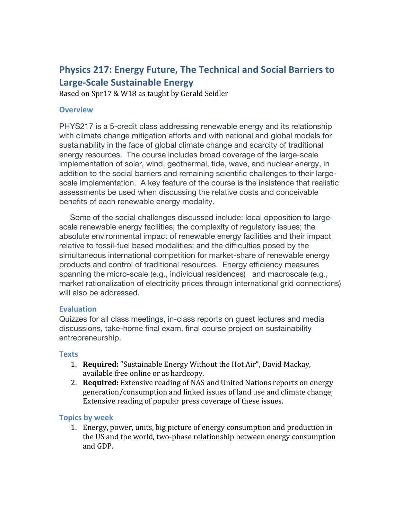# **Physics 217: Energy Future, The Technical and Social Barriers to Large-Scale Sustainable Energy**

Based on Spr17 & W18 as taught by Gerald Seidler

### **Overview**

PHYS217 is a 5-credit class addressing renewable energy and its relationship with climate change mitigation efforts and with national and global models for sustainability in the face of global climate change and scarcity of traditional energy resources. The course includes broad coverage of the large-scale implementation of solar, wind, geothermal, tide, wave, and nuclear energy, in addition to the social barriers and remaining scientific challenges to their largescale implementation. A key feature of the course is the insistence that realistic assessments be used when discussing the relative costs and conceivable benefits of each renewable energy modality.

 Some of the social challenges discussed include: local opposition to largescale renewable energy facilities; the complexity of regulatory issues; the absolute environmental impact of renewable energy facilities and their impact relative to fossil-fuel based modalities; and the difficulties posed by the simultaneous international competition for market-share of renewable energy products and control of traditional resources. Energy efficiency measures spanning the micro-scale (e.g., individual residences) and macroscale (e.g., market rationalization of electricity prices through international grid connections) will also be addressed.

# **Evaluation**

Quizzes for all class meetings, in-class reports on guest lectures and media discussions, take-home final exam, final course project on sustainability entrepreneurship.

### **Texts**

- 1. **Required:** "Sustainable Energy Without the Hot Air", David Mackay, available free online or as hardcopy.
- 2. **Required:** Extensive reading of NAS and United Nations reports on energy generation/consumption and linked issues of land use and climate change; Extensive reading of popular press coverage of these issues.

# **Topics by week**

1. Energy, power, units, big picture of energy consumption and production in the US and the world, two-phase relationship between energy consumption and GDP.